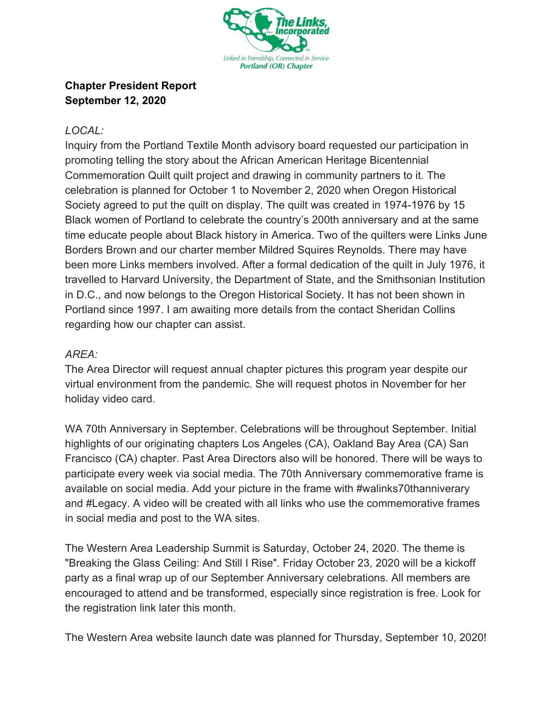

## **Chapter President Report September 12, 2020**

## *LOCAL:*

Inquiry from the Portland Textile Month advisory board requested our participation in promoting telling the story about the African American Heritage Bicentennial Commemoration Quilt quilt project and drawing in community partners to it. The celebration is planned for October 1 to November 2, 2020 when Oregon Historical Society agreed to put the quilt on display. The quilt was created in 1974-1976 by 15 Black women of Portland to celebrate the country's 200th anniversary and at the same time educate people about Black history in America. Two of the quilters were Links June Borders Brown and our charter member Mildred Squires Reynolds. There may have been more Links members involved. After a formal dedication of the quilt in July 1976, it travelled to Harvard University, the Department of State, and the Smithsonian Institution in D.C., and now belongs to the Oregon Historical Society. It has not been shown in Portland since 1997. I am awaiting more details from the contact Sheridan Collins regarding how our chapter can assist.

## *AREA:*

The Area Director will request annual chapter pictures this program year despite our virtual environment from the pandemic. She will request photos in November for her holiday video card.

WA 70th Anniversary in September. Celebrations will be throughout September. Initial highlights of our originating chapters Los Angeles (CA), Oakland Bay Area (CA) San Francisco (CA) chapter. Past Area Directors also will be honored. There will be ways to participate every week via social media. The 70th Anniversary commemorative frame is available on social media. Add your picture in the frame with #walinks70thanniverary and #Legacy. A video will be created with all links who use the commemorative frames in social media and post to the WA sites.

The Western Area Leadership Summit is Saturday, October 24, 2020. The theme is "Breaking the Glass Ceiling: And Still I Rise". Friday October 23, 2020 will be a kickoff party as a final wrap up of our September Anniversary celebrations. All members are encouraged to attend and be transformed, especially since registration is free. Look for the registration link later this month.

The Western Area website launch date was planned for Thursday, September 10, 2020!